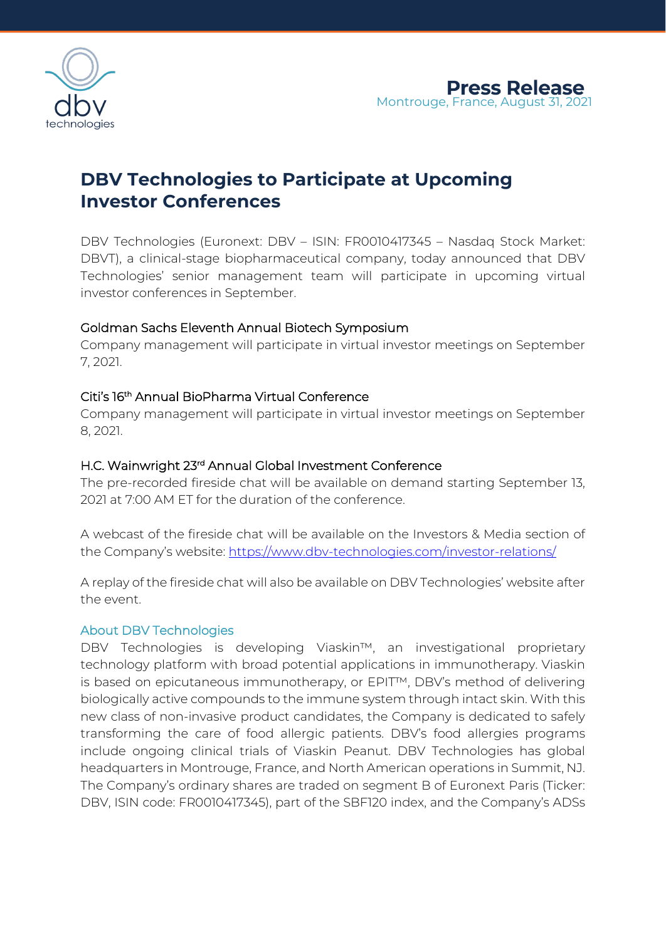

# **DBV Technologies to Participate at Upcoming Investor Conferences**

DBV Technologies (Euronext: DBV – ISIN: FR0010417345 – Nasdaq Stock Market: DBVT), a clinical-stage biopharmaceutical company, today announced that DBV Technologies' senior management team will participate in upcoming virtual investor conferences in September.

## Goldman Sachs Eleventh Annual Biotech Symposium

Company management will participate in virtual investor meetings on September 7, 2021.

## Citi's 16th Annual BioPharma Virtual Conference

Company management will participate in virtual investor meetings on September 8, 2021.

#### H.C. Wainwright 23rd Annual Global Investment Conference

The pre-recorded fireside chat will be available on demand starting September 13, 2021 at 7:00 AM ET for the duration of the conference.

A webcast of the fireside chat will be available on the Investors & Media section of the Company's website: <https://www.dbv-technologies.com/investor-relations/>

A replay of the fireside chat will also be available on DBV Technologies' website after the event.

#### About DBV Technologies

DBV Technologies is developing Viaskin™, an investigational proprietary technology platform with broad potential applications in immunotherapy. Viaskin is based on epicutaneous immunotherapy, or EPIT™, DBV's method of delivering biologically active compounds to the immune system through intact skin. With this new class of non-invasive product candidates, the Company is dedicated to safely transforming the care of food allergic patients. DBV's food allergies programs include ongoing clinical trials of Viaskin Peanut. DBV Technologies has global headquarters in Montrouge, France, and North American operations in Summit, NJ. The Company's ordinary shares are traded on segment B of Euronext Paris (Ticker: DBV, ISIN code: FR0010417345), part of the SBF120 index, and the Company's ADSs